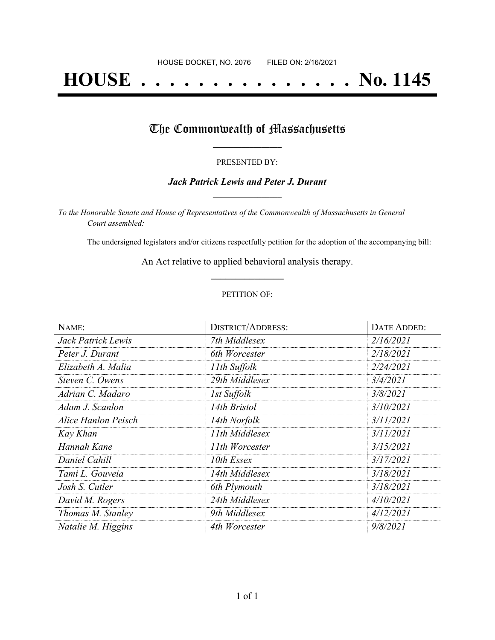# **HOUSE . . . . . . . . . . . . . . . No. 1145**

## The Commonwealth of Massachusetts

#### PRESENTED BY:

#### *Jack Patrick Lewis and Peter J. Durant* **\_\_\_\_\_\_\_\_\_\_\_\_\_\_\_\_\_**

*To the Honorable Senate and House of Representatives of the Commonwealth of Massachusetts in General Court assembled:*

The undersigned legislators and/or citizens respectfully petition for the adoption of the accompanying bill:

An Act relative to applied behavioral analysis therapy. **\_\_\_\_\_\_\_\_\_\_\_\_\_\_\_**

#### PETITION OF:

| NAME:               | <b>DISTRICT/ADDRESS:</b> | <b>DATE ADDED:</b> |
|---------------------|--------------------------|--------------------|
| Jack Patrick Lewis  | 7th Middlesex            | 2/16/2021          |
| Peter J. Durant     | 6th Worcester            | 2/18/2021          |
| Elizabeth A. Malia  | 11th Suffolk             | 2/24/2021          |
| Steven C. Owens     | 29th Middlesex           | 3/4/2021           |
| Adrian C. Madaro    | 1st Suffolk              | 3/8/2021           |
| Adam J. Scanlon     | 14th Bristol             | 3/10/2021          |
| Alice Hanlon Peisch | 14th Norfolk             | 3/11/2021          |
| Kay Khan            | 11th Middlesex           | 3/11/2021          |
| Hannah Kane         | 11th Worcester           | 3/15/2021          |
| Daniel Cahill       | 10th Essex               | 3/17/2021          |
| Tami L. Gouveia     | 14th Middlesex           | 3/18/2021          |
| Josh S. Cutler      | 6th Plymouth             | 3/18/2021          |
| David M. Rogers     | 24th Middlesex           | 4/10/2021          |
| Thomas M. Stanley   | 9th Middlesex            | 4/12/2021          |
| Natalie M. Higgins  | 4th Worcester            | 9/8/2021           |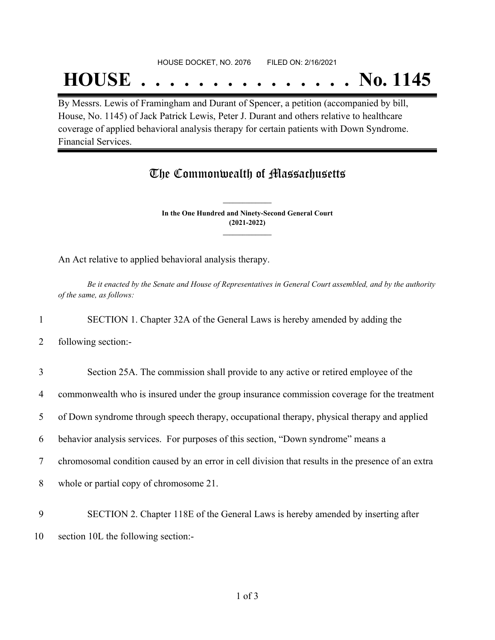#### HOUSE DOCKET, NO. 2076 FILED ON: 2/16/2021

## **HOUSE . . . . . . . . . . . . . . . No. 1145**

By Messrs. Lewis of Framingham and Durant of Spencer, a petition (accompanied by bill, House, No. 1145) of Jack Patrick Lewis, Peter J. Durant and others relative to healthcare coverage of applied behavioral analysis therapy for certain patients with Down Syndrome. Financial Services.

### The Commonwealth of Massachusetts

**In the One Hundred and Ninety-Second General Court (2021-2022) \_\_\_\_\_\_\_\_\_\_\_\_\_\_\_**

**\_\_\_\_\_\_\_\_\_\_\_\_\_\_\_**

An Act relative to applied behavioral analysis therapy.

Be it enacted by the Senate and House of Representatives in General Court assembled, and by the authority *of the same, as follows:*

1 SECTION 1. Chapter 32A of the General Laws is hereby amended by adding the

2 following section:-

 Section 25A. The commission shall provide to any active or retired employee of the commonwealth who is insured under the group insurance commission coverage for the treatment of Down syndrome through speech therapy, occupational therapy, physical therapy and applied behavior analysis services. For purposes of this section, "Down syndrome" means a chromosomal condition caused by an error in cell division that results in the presence of an extra whole or partial copy of chromosome 21. SECTION 2. Chapter 118E of the General Laws is hereby amended by inserting after

10 section 10L the following section:-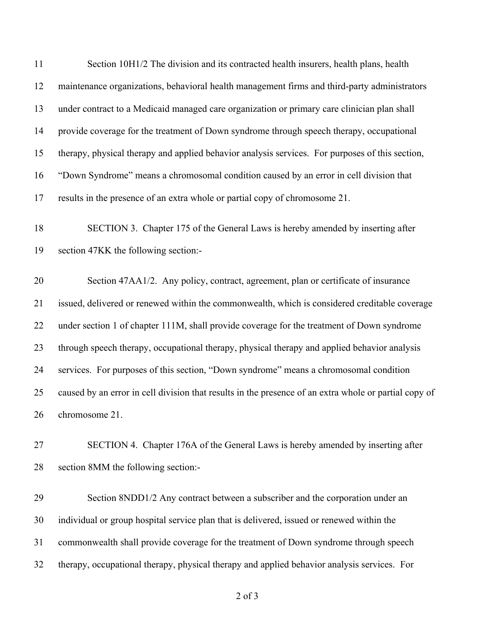Section 10H1/2 The division and its contracted health insurers, health plans, health maintenance organizations, behavioral health management firms and third-party administrators under contract to a Medicaid managed care organization or primary care clinician plan shall provide coverage for the treatment of Down syndrome through speech therapy, occupational therapy, physical therapy and applied behavior analysis services. For purposes of this section, "Down Syndrome" means a chromosomal condition caused by an error in cell division that results in the presence of an extra whole or partial copy of chromosome 21.

 SECTION 3. Chapter 175 of the General Laws is hereby amended by inserting after section 47KK the following section:-

 Section 47AA1/2. Any policy, contract, agreement, plan or certificate of insurance issued, delivered or renewed within the commonwealth, which is considered creditable coverage under section 1 of chapter 111M, shall provide coverage for the treatment of Down syndrome through speech therapy, occupational therapy, physical therapy and applied behavior analysis services. For purposes of this section, "Down syndrome" means a chromosomal condition caused by an error in cell division that results in the presence of an extra whole or partial copy of chromosome 21.

 SECTION 4. Chapter 176A of the General Laws is hereby amended by inserting after section 8MM the following section:-

 Section 8NDD1/2 Any contract between a subscriber and the corporation under an individual or group hospital service plan that is delivered, issued or renewed within the commonwealth shall provide coverage for the treatment of Down syndrome through speech therapy, occupational therapy, physical therapy and applied behavior analysis services. For

of 3